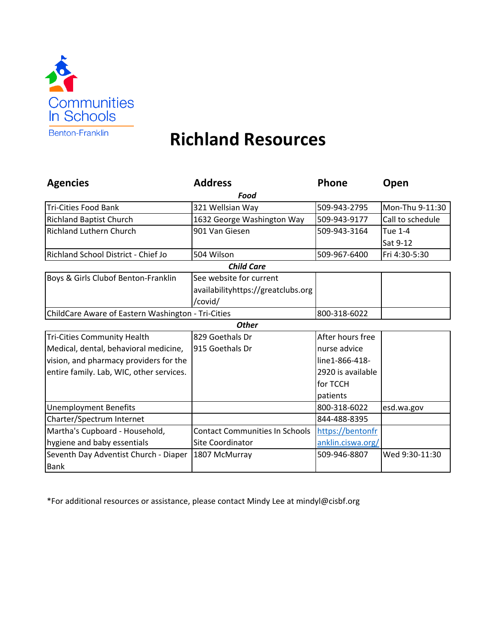

## **Richland Resources**

| <b>Agencies</b>                                    | <b>Address</b>                        | Phone             | Open             |  |
|----------------------------------------------------|---------------------------------------|-------------------|------------------|--|
| Food                                               |                                       |                   |                  |  |
| <b>Tri-Cities Food Bank</b>                        | 321 Wellsian Way                      | 509-943-2795      | Mon-Thu 9-11:30  |  |
| <b>Richland Baptist Church</b>                     | 1632 George Washington Way            | 509-943-9177      | Call to schedule |  |
| <b>Richland Luthern Church</b>                     | 901 Van Giesen                        | 509-943-3164      | Tue 1-4          |  |
|                                                    |                                       |                   | Sat 9-12         |  |
| Richland School District - Chief Jo                | 504 Wilson                            | 509-967-6400      | Fri 4:30-5:30    |  |
| <b>Child Care</b>                                  |                                       |                   |                  |  |
| Boys & Girls Clubof Benton-Franklin                | See website for current               |                   |                  |  |
|                                                    | availabilityhttps://greatclubs.org    |                   |                  |  |
|                                                    | /covid/                               |                   |                  |  |
| ChildCare Aware of Eastern Washington - Tri-Cities |                                       | 800-318-6022      |                  |  |
|                                                    | <b>Other</b>                          |                   |                  |  |
| <b>Tri-Cities Community Health</b>                 | 829 Goethals Dr                       | After hours free  |                  |  |
| Medical, dental, behavioral medicine,              | 915 Goethals Dr                       | nurse advice      |                  |  |
| vision, and pharmacy providers for the             |                                       | line1-866-418-    |                  |  |
| entire family. Lab, WIC, other services.           |                                       | 2920 is available |                  |  |
|                                                    |                                       | for TCCH          |                  |  |
|                                                    |                                       | patients          |                  |  |
| <b>Unemployment Benefits</b>                       |                                       | 800-318-6022      | esd.wa.gov       |  |
| Charter/Spectrum Internet                          |                                       | 844-488-8395      |                  |  |
| Martha's Cupboard - Household,                     | <b>Contact Communities In Schools</b> | https://bentonfr  |                  |  |
| hygiene and baby essentials                        | <b>Site Coordinator</b>               | anklin.ciswa.org/ |                  |  |
| Seventh Day Adventist Church - Diaper              | 1807 McMurray                         | 509-946-8807      | Wed 9:30-11:30   |  |
| <b>Bank</b>                                        |                                       |                   |                  |  |

\*For additional resources or assistance, please contact Mindy Lee at mindyl@cisbf.org